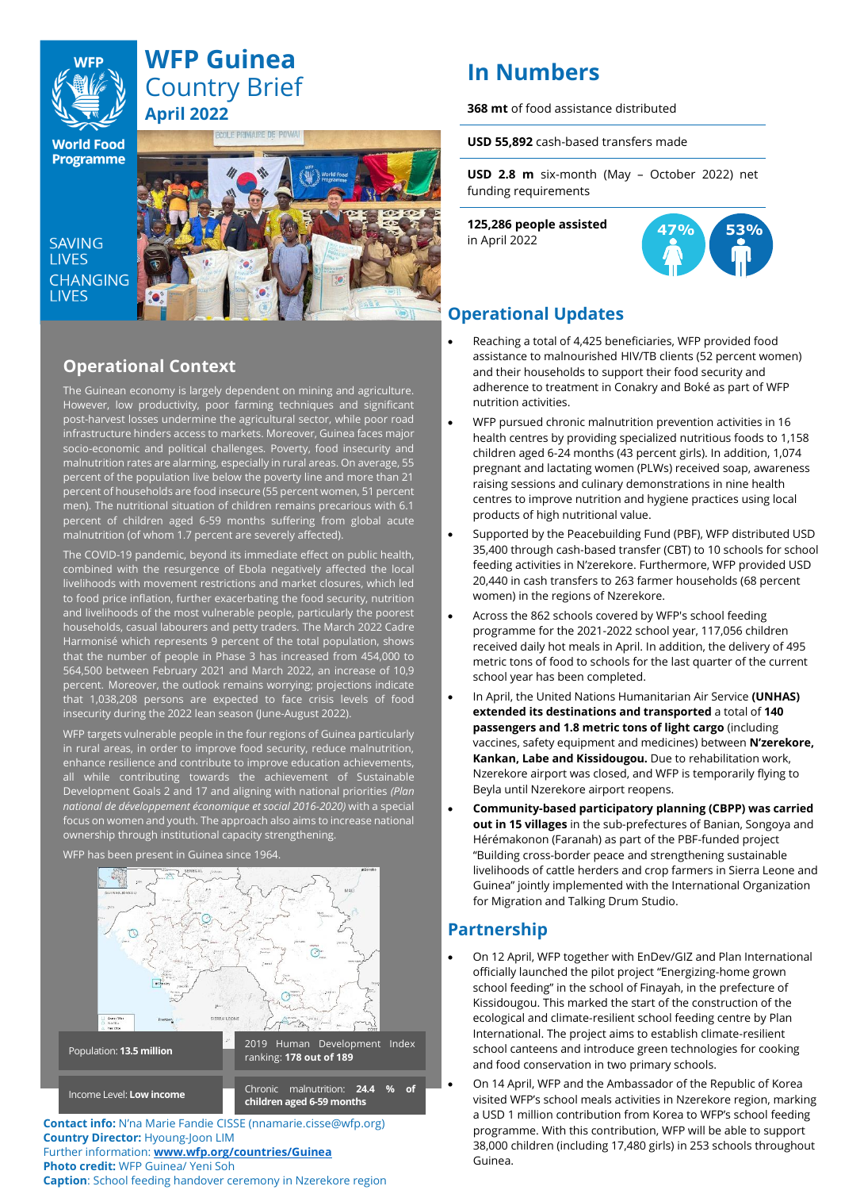

# **WFP Guinea** Country Brief **April 2022**

OLE PRIMAIRE DE POWA

**World Food Programme** 

SAVING **LIVES** CHANGING **LIVES** 



# **Operational Context**

The Guinean economy is largely dependent on mining and agriculture. However, low productivity, poor farming techniques and significant post-harvest losses undermine the agricultural sector, while poor road infrastructure hinders access to markets. Moreover, Guinea faces major socio-economic and political challenges. Poverty, food insecurity and malnutrition rates are alarming, especially in rural areas. On average, 55 percent of the population live below the poverty line and more than 21 percent of households are food insecure (55 percent women, 51 percent men). The nutritional situation of children remains precarious with 6.1 percent of children aged 6-59 months suffering from global acute malnutrition (of whom 1.7 percent are severely affected).

The COVID-19 pandemic, beyond its immediate effect on public health, combined with the resurgence of Ebola negatively affected the local livelihoods with movement restrictions and market closures, which led to food price inflation, further exacerbating the food security, nutrition and livelihoods of the most vulnerable people, particularly the poorest households, casual labourers and petty traders. The March 2022 Cadre Harmonisé which represents 9 percent of the total population, shows that the number of people in Phase 3 has increased from 454,000 to 564,500 between February 2021 and March 2022, an increase of 10,9 percent. Moreover, the outlook remains worrying; projections indicate that 1,038,208 persons are expected to face crisis levels of food insecurity during the 2022 lean season (June-August 2022).

WFP targets vulnerable people in the four regions of Guinea particularly in rural areas, in order to improve food security, reduce malnutrition, enhance resilience and contribute to improve education achievements, all while contributing towards the achievement of Sustainable Development Goals 2 and 17 and aligning with national priorities *(Plan national de développement économique et social 2016-2020)* with a special focus on women and youth. The approach also aims to increase national ownership through institutional capacity strengthening.

#### WFP has been present in Guinea since 1964.



**Contact info:** N'na Marie Fandie CISSE (nnamarie.cisse@wfp.org) **Country Director:** Hyoung-Joon LIM Further information: **[www.wfp.org/countries/Guinea](http://www.wfp.org/countries/Guinea) Photo credit:** WFP Guinea/ Yeni Soh **Caption**: School feeding handover ceremony in Nzerekore region

# **In Numbers**

**368 mt** of food assistance distributed

**USD 55,892** cash-based transfers made

**USD 2.8 m** six-month (May – October 2022) net funding requirements

**125,286 people assisted**  in April 2022



# **Operational Updates**

- Reaching a total of 4,425 beneficiaries, WFP provided food assistance to malnourished HIV/TB clients (52 percent women) and their households to support their food security and adherence to treatment in Conakry and Boké as part of WFP nutrition activities.
- WFP pursued chronic malnutrition prevention activities in 16 health centres by providing specialized nutritious foods to 1,158 children aged 6-24 months (43 percent girls). In addition, 1,074 pregnant and lactating women (PLWs) received soap, awareness raising sessions and culinary demonstrations in nine health centres to improve nutrition and hygiene practices using local products of high nutritional value.
- Supported by the Peacebuilding Fund (PBF), WFP distributed USD 35,400 through cash-based transfer (CBT) to 10 schools for school feeding activities in N'zerekore. Furthermore, WFP provided USD 20,440 in cash transfers to 263 farmer households (68 percent women) in the regions of Nzerekore.
- Across the 862 schools covered by WFP's school feeding programme for the 2021-2022 school year, 117,056 children received daily hot meals in April. In addition, the delivery of 495 metric tons of food to schools for the last quarter of the current school year has been completed.
- In April, the United Nations Humanitarian Air Service **(UNHAS) extended its destinations and transported** a total of **140 passengers and 1.8 metric tons of light cargo** (including vaccines, safety equipment and medicines) between **N'zerekore, Kankan, Labe and Kissidougou.** Due to rehabilitation work, Nzerekore airport was closed, and WFP is temporarily flying to Beyla until Nzerekore airport reopens.
- **Community-based participatory planning (CBPP) was carried out in 15 villages** in the sub-prefectures of Banian, Songoya and Hérémakonon (Faranah) as part of the PBF-funded project "Building cross-border peace and strengthening sustainable livelihoods of cattle herders and crop farmers in Sierra Leone and Guinea" jointly implemented with the International Organization for Migration and Talking Drum Studio.

### **Partnership**

- On 12 April, WFP together with EnDev/GIZ and Plan International officially launched the pilot project "Energizing-home grown school feeding" in the school of Finayah, in the prefecture of Kissidougou. This marked the start of the construction of the ecological and climate-resilient school feeding centre by Plan International. The project aims to establish climate-resilient school canteens and introduce green technologies for cooking and food conservation in two primary schools.
- On 14 April, WFP and the Ambassador of the Republic of Korea visited WFP's school meals activities in Nzerekore region, marking a USD 1 million contribution from Korea to WFP's school feeding programme. With this contribution, WFP will be able to support 38,000 children (including 17,480 girls) in 253 schools throughout Guinea.